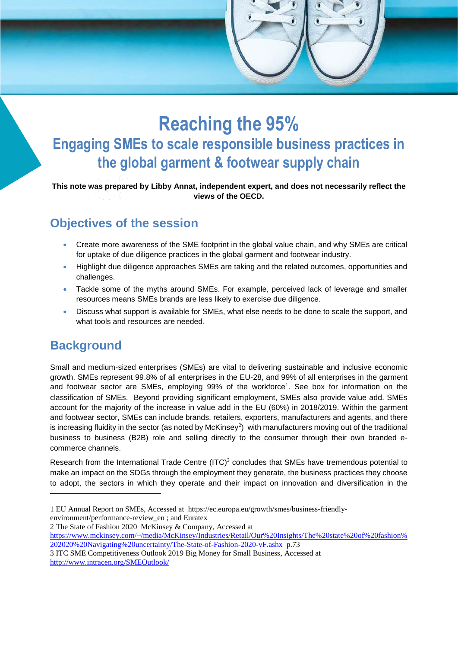# **Reaching the 95% Engaging SMEs to scale responsible business practices in the global garment & footwear supply chain**

**This note was prepared by Libby Annat, independent expert, and does not necessarily reflect the views of the OECD.**

## **Objectives of the session**

- Create more awareness of the SME footprint in the global value chain, and why SMEs are critical for uptake of due diligence practices in the global garment and footwear industry.
- Highlight due diligence approaches SMEs are taking and the related outcomes, opportunities and challenges.
- Tackle some of the myths around SMEs. For example, perceived lack of leverage and smaller resources means SMEs brands are less likely to exercise due diligence.
- Discuss what support is available for SMEs, what else needs to be done to scale the support, and what tools and resources are needed.

## **Background**

Small and medium-sized enterprises (SMEs) are vital to delivering sustainable and inclusive economic growth. SMEs represent 99.8% of all enterprises in the EU-28, and 99% of all enterprises in the garment and footwear sector are SMEs, employing 99% of the workforce<sup>1</sup>. See box for information on the classification of SMEs. Beyond providing significant employment, SMEs also provide value add. SMEs account for the majority of the increase in value add in the EU (60%) in 2018/2019. Within the garment and footwear sector, SMEs can include brands, retailers, exporters, manufacturers and agents, and there is increasing fluidity in the sector (as noted by McKinsey<sup>2</sup>) with manufacturers moving out of the traditional business to business (B2B) role and selling directly to the consumer through their own branded ecommerce channels.

Research from the International Trade Centre  $(ITC)^3$  concludes that SMEs have tremendous potential to make an impact on the SDGs through the employment they generate, the business practices they choose to adopt, the sectors in which they operate and their impact on innovation and diversification in the

1 EU Annual Report on SMEs, Accessed at [https://ec.europa.eu/growth/smes/business-friendly](https://ec.europa.eu/growth/smes/business-friendly-environment/performance-review_en)[environment/performance-review\\_en](https://ec.europa.eu/growth/smes/business-friendly-environment/performance-review_en) ; and Euratex

2 The State of Fashion 2020 McKinsey & Company, Accessed at

[https://www.mckinsey.com/~/media/McKinsey/Industries/Retail/Our%20Insights/The%20state%20of%20fashion%](https://www.mckinsey.com/~/media/McKinsey/Industries/Retail/Our%20Insights/The%20state%20of%20fashion%202020%20Navigating%20uncertainty/The-State-of-Fashion-2020-vF.ashx) [202020%20Navigating%20uncertainty/The-State-of-Fashion-2020-vF.ashx](https://www.mckinsey.com/~/media/McKinsey/Industries/Retail/Our%20Insights/The%20state%20of%20fashion%202020%20Navigating%20uncertainty/The-State-of-Fashion-2020-vF.ashx) p.73

<sup>3</sup> ITC SME Competitiveness Outlook 2019 Big Money for Small Business, Accessed at <http://www.intracen.org/SMEOutlook/>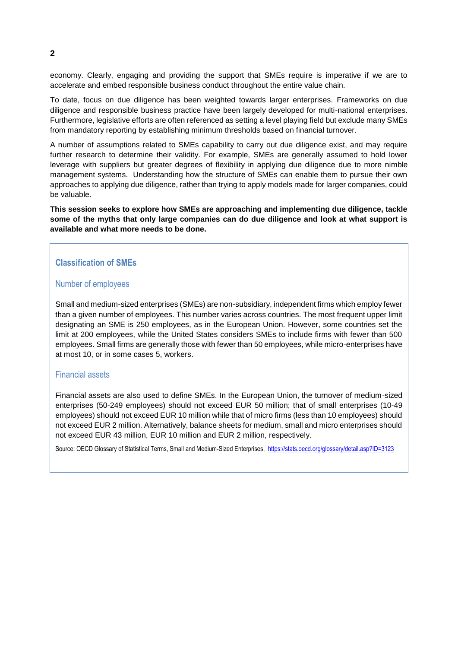economy. Clearly, engaging and providing the support that SMEs require is imperative if we are to accelerate and embed responsible business conduct throughout the entire value chain.

To date, focus on due diligence has been weighted towards larger enterprises. Frameworks on due diligence and responsible business practice have been largely developed for multi-national enterprises. Furthermore, legislative efforts are often referenced as setting a level playing field but exclude many SMEs from mandatory reporting by establishing minimum thresholds based on financial turnover.

A number of assumptions related to SMEs capability to carry out due diligence exist, and may require further research to determine their validity. For example, SMEs are generally assumed to hold lower leverage with suppliers but greater degrees of flexibility in applying due diligence due to more nimble management systems. Understanding how the structure of SMEs can enable them to pursue their own approaches to applying due diligence, rather than trying to apply models made for larger companies, could be valuable.

**This session seeks to explore how SMEs are approaching and implementing due diligence, tackle some of the myths that only large companies can do due diligence and look at what support is available and what more needs to be done.** 

#### **Classification of SMEs**

#### Number of employees

Small and medium-sized enterprises (SMEs) are non-subsidiary, independent firms which employ fewer than a given number of employees. This number varies across countries. The most frequent upper limit designating an SME is 250 employees, as in the European Union. However, some countries set the limit at 200 employees, while the United States considers SMEs to include firms with fewer than 500 employees. Small firms are generally those with fewer than 50 employees, while micro-enterprises have at most 10, or in some cases 5, workers.

#### Financial assets

Financial assets are also used to define SMEs. In the European Union, the turnover of medium-sized enterprises (50-249 employees) should not exceed EUR 50 million; that of small enterprises (10-49 employees) should not exceed EUR 10 million while that of micro firms (less than 10 employees) should not exceed EUR 2 million. Alternatively, balance sheets for medium, small and micro enterprises should not exceed EUR 43 million, EUR 10 million and EUR 2 million, respectively.

Source: OECD Glossary of Statistical Terms, Small and Medium-Sized Enterprises,<https://stats.oecd.org/glossary/detail.asp?ID=3123>

#### **2**